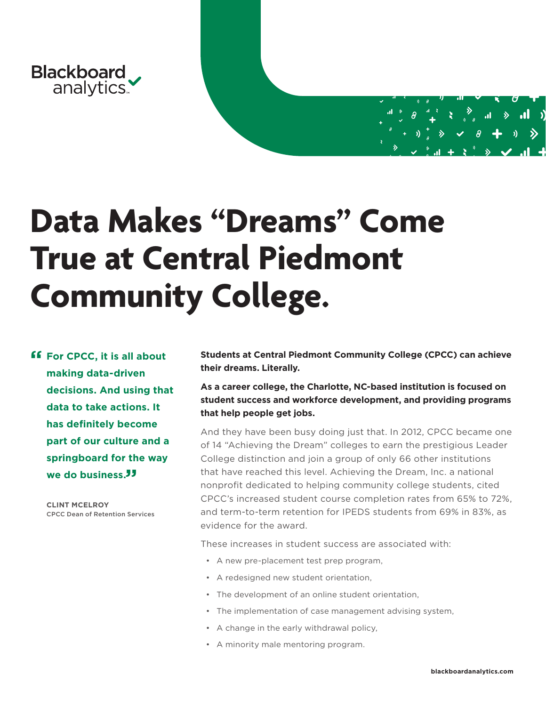

# **Data Makes "Dreams" Come True at Central Piedmont Community College.**

*ff* For CPCC, it is all about **making data-driven decisions. And using that data to take actions. It has definitely become part of our culture and a springboard for the way**  we do business.<sup>33</sup>

> **CLINT MCELROY** CPCC Dean of Retention Services

**Students at Central Piedmont Community College (CPCC) can achieve their dreams. Literally.** 

**As a career college, the Charlotte, NC-based institution is focused on student success and workforce development, and providing programs that help people get jobs.** 

And they have been busy doing just that. In 2012, CPCC became one of 14 "Achieving the Dream" colleges to earn the prestigious Leader College distinction and join a group of only 66 other institutions that have reached this level. Achieving the Dream, Inc. a national nonprofit dedicated to helping community college students, cited CPCC's increased student course completion rates from 65% to 72%, and term-to-term retention for IPEDS students from 69% in 83%, as evidence for the award.

These increases in student success are associated with:

- A new pre-placement test prep program,
- A redesigned new student orientation,
- The development of an online student orientation,
- The implementation of case management advising system,
- A change in the early withdrawal policy,
- A minority male mentoring program.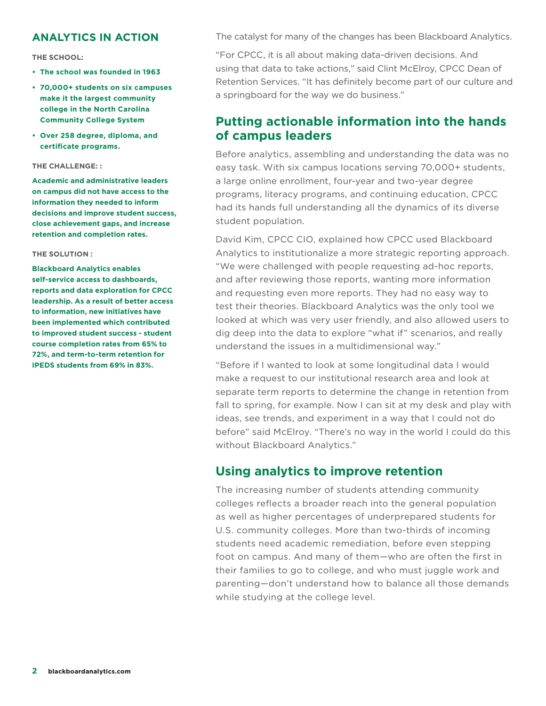## **ANALYTICS IN ACTION**

**THE SCHOOL:**

- **• The school was founded in 1963**
- **• 70,000+ students on six campuses make it the largest community college in the North Carolina Community College System**
- **• Over 258 degree, diploma, and certificate programs.**

#### **THE CHALLENGE: :**

**Academic and administrative leaders on campus did not have access to the information they needed to inform decisions and improve student success, close achievement gaps, and increase retention and completion rates.**

#### **THE SOLUTION :**

**Blackboard Analytics enables self-service access to dashboards, reports and data exploration for CPCC leadership. As a result of better access to information, new initiatives have been implemented which contributed to improved student success - student course completion rates from 65% to 72%, and term-to-term retention for IPEDS students from 69% in 83%.**

The catalyst for many of the changes has been Blackboard Analytics.

"For CPCC, it is all about making data-driven decisions. And using that data to take actions," said Clint McElroy, CPCC Dean of Retention Services. "It has definitely become part of our culture and a springboard for the way we do business."

## **Putting actionable information into the hands of campus leaders**

Before analytics, assembling and understanding the data was no easy task. With six campus locations serving 70,000+ students, a large online enrollment, four-year and two-year degree programs, literacy programs, and continuing education, CPCC had its hands full understanding all the dynamics of its diverse student population.

David Kim, CPCC CIO, explained how CPCC used Blackboard Analytics to institutionalize a more strategic reporting approach. "We were challenged with people requesting ad-hoc reports, and after reviewing those reports, wanting more information and requesting even more reports. They had no easy way to test their theories. Blackboard Analytics was the only tool we looked at which was very user friendly, and also allowed users to dig deep into the data to explore "what if" scenarios, and really understand the issues in a multidimensional way."

"Before if I wanted to look at some longitudinal data I would make a request to our institutional research area and look at separate term reports to determine the change in retention from fall to spring, for example. Now I can sit at my desk and play with ideas, see trends, and experiment in a way that I could not do before" said McElroy. "There's no way in the world I could do this without Blackboard Analytics."

## **Using analytics to improve retention**

The increasing number of students attending community colleges reflects a broader reach into the general population as well as higher percentages of underprepared students for U.S. community colleges. More than two-thirds of incoming students need academic remediation, before even stepping foot on campus. And many of them—who are often the first in their families to go to college, and who must juggle work and parenting—don't understand how to balance all those demands while studying at the college level.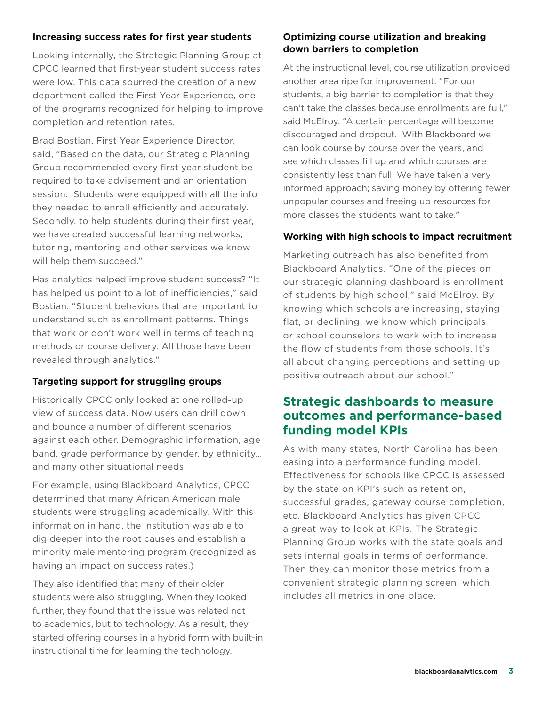#### **Increasing success rates for first year students**

Looking internally, the Strategic Planning Group at CPCC learned that first-year student success rates were low. This data spurred the creation of a new department called the First Year Experience, one of the programs recognized for helping to improve completion and retention rates.

Brad Bostian, First Year Experience Director, said, "Based on the data, our Strategic Planning Group recommended every first year student be required to take advisement and an orientation session. Students were equipped with all the info they needed to enroll efficiently and accurately. Secondly, to help students during their first year, we have created successful learning networks, tutoring, mentoring and other services we know will help them succeed."

Has analytics helped improve student success? "It has helped us point to a lot of inefficiencies," said Bostian. "Student behaviors that are important to understand such as enrollment patterns. Things that work or don't work well in terms of teaching methods or course delivery. All those have been revealed through analytics."

## **Targeting support for struggling groups**

Historically CPCC only looked at one rolled-up view of success data. Now users can drill down and bounce a number of different scenarios against each other. Demographic information, age band, grade performance by gender, by ethnicity… and many other situational needs.

For example, using Blackboard Analytics, CPCC determined that many African American male students were struggling academically. With this information in hand, the institution was able to dig deeper into the root causes and establish a minority male mentoring program (recognized as having an impact on success rates.)

They also identified that many of their older students were also struggling. When they looked further, they found that the issue was related not to academics, but to technology. As a result, they started offering courses in a hybrid form with built-in instructional time for learning the technology.

## **Optimizing course utilization and breaking down barriers to completion**

At the instructional level, course utilization provided another area ripe for improvement. "For our students, a big barrier to completion is that they can't take the classes because enrollments are full," said McElroy. "A certain percentage will become discouraged and dropout. With Blackboard we can look course by course over the years, and see which classes fill up and which courses are consistently less than full. We have taken a very informed approach; saving money by offering fewer unpopular courses and freeing up resources for more classes the students want to take."

## **Working with high schools to impact recruitment**

Marketing outreach has also benefited from Blackboard Analytics. "One of the pieces on our strategic planning dashboard is enrollment of students by high school," said McElroy. By knowing which schools are increasing, staying flat, or declining, we know which principals or school counselors to work with to increase the flow of students from those schools. It's all about changing perceptions and setting up positive outreach about our school."

# **Strategic dashboards to measure outcomes and performance-based funding model KPIs**

As with many states, North Carolina has been easing into a performance funding model. Effectiveness for schools like CPCC is assessed by the state on KPI's such as retention, successful grades, gateway course completion, etc. Blackboard Analytics has given CPCC a great way to look at KPIs. The Strategic Planning Group works with the state goals and sets internal goals in terms of performance. Then they can monitor those metrics from a convenient strategic planning screen, which includes all metrics in one place.